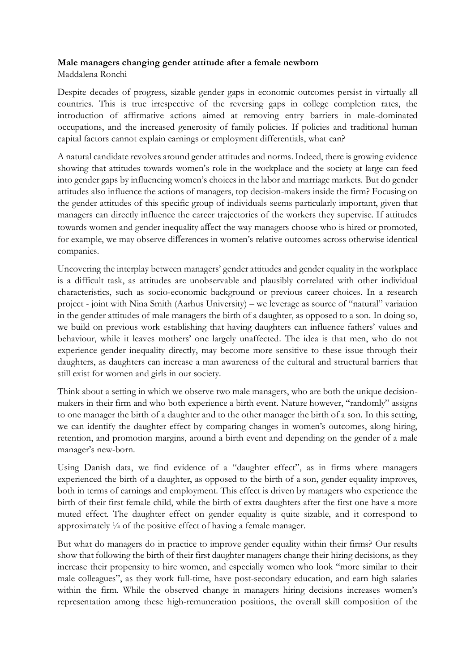## **Male managers changing gender attitude after a female newborn**

Maddalena Ronchi

Despite decades of progress, sizable gender gaps in economic outcomes persist in virtually all countries. This is true irrespective of the reversing gaps in college completion rates, the introduction of affirmative actions aimed at removing entry barriers in male-dominated occupations, and the increased generosity of family policies. If policies and traditional human capital factors cannot explain earnings or employment differentials, what can?

A natural candidate revolves around gender attitudes and norms. Indeed, there is growing evidence showing that attitudes towards women's role in the workplace and the society at large can feed into gender gaps by influencing women's choices in the labor and marriage markets. But do gender attitudes also influence the actions of managers, top decision-makers inside the firm? Focusing on the gender attitudes of this specific group of individuals seems particularly important, given that managers can directly influence the career trajectories of the workers they supervise. If attitudes towards women and gender inequality affect the way managers choose who is hired or promoted, for example, we may observe differences in women's relative outcomes across otherwise identical companies.

Uncovering the interplay between managers' gender attitudes and gender equality in the workplace is a difficult task, as attitudes are unobservable and plausibly correlated with other individual characteristics, such as socio-economic background or previous career choices. In a research project - joint with Nina Smith (Aarhus University) – we leverage as source of "natural" variation in the gender attitudes of male managers the birth of a daughter, as opposed to a son. In doing so, we build on previous work establishing that having daughters can influence fathers' values and behaviour, while it leaves mothers' one largely unaffected. The idea is that men, who do not experience gender inequality directly, may become more sensitive to these issue through their daughters, as daughters can increase a man awareness of the cultural and structural barriers that still exist for women and girls in our society.

Think about a setting in which we observe two male managers, who are both the unique decisionmakers in their firm and who both experience a birth event. Nature however, "randomly" assigns to one manager the birth of a daughter and to the other manager the birth of a son. In this setting, we can identify the daughter effect by comparing changes in women's outcomes, along hiring, retention, and promotion margins, around a birth event and depending on the gender of a male manager's new-born.

Using Danish data, we find evidence of a "daughter effect", as in firms where managers experienced the birth of a daughter, as opposed to the birth of a son, gender equality improves, both in terms of earnings and employment. This effect is driven by managers who experience the birth of their first female child, while the birth of extra daughters after the first one have a more muted effect. The daughter effect on gender equality is quite sizable, and it correspond to approximately ¼ of the positive effect of having a female manager.

But what do managers do in practice to improve gender equality within their firms? Our results show that following the birth of their first daughter managers change their hiring decisions, as they increase their propensity to hire women, and especially women who look "more similar to their male colleagues", as they work full-time, have post-secondary education, and earn high salaries within the firm. While the observed change in managers hiring decisions increases women's representation among these high-remuneration positions, the overall skill composition of the